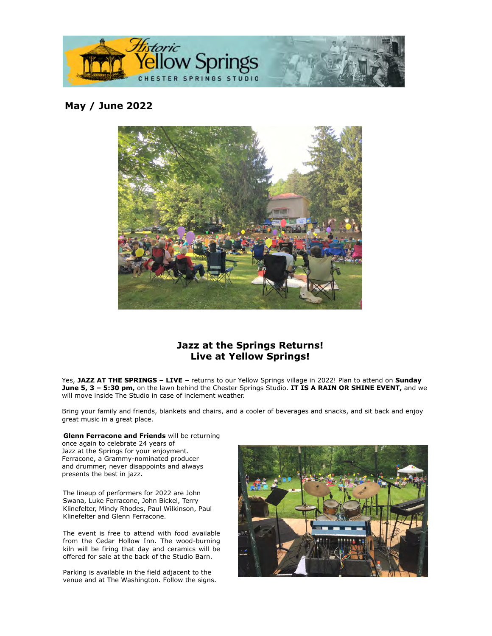

## **May / June 2022**



## **Jazz at the Springs Returns! Live at Yellow Springs!**

Yes, **JAZZ AT THE SPRINGS – LIVE –** returns to our Yellow Springs village in 2022! Plan to attend on **Sunday June 5, 3 – 5:30 pm,** on the lawn behind the Chester Springs Studio. **IT IS A RAIN OR SHINE EVENT,** and we will move inside The Studio in case of inclement weather.

Bring your family and friends, blankets and chairs, and a cooler of beverages and snacks, and sit back and enjoy great music in a great place.

**Glenn Ferracone and Friends** will be returning once again to celebrate 24 years of Jazz at the Springs for your enjoyment. Ferracone, a Grammy-nominated producer and drummer, never disappoints and always presents the best in jazz.

The lineup of performers for 2022 are John Swana, Luke Ferracone, John Bickel, Terry Klinefelter, Mindy Rhodes, Paul Wilkinson, Paul Klinefelter and Glenn Ferracone.

The event is free to attend with food available from the Cedar Hollow Inn. The wood-burning kiln will be firing that day and ceramics will be offered for sale at the back of the Studio Barn.

Parking is available in the field adjacent to the venue and at The Washington. Follow the signs.

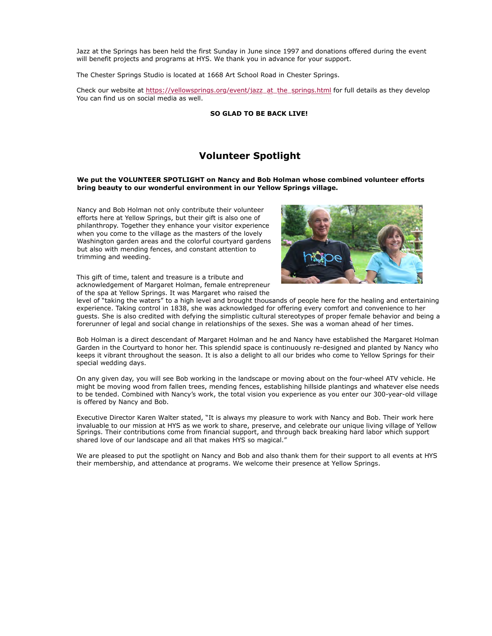Jazz at the Springs has been held the first Sunday in June since 1997 and donations offered during the event will benefit projects and programs at HYS. We thank you in advance for your support.

The Chester Springs Studio is located at 1668 Art School Road in Chester Springs.

Check our website at [https://yellowsprings.org/event/jazz\\_at\\_the\\_springs.html](https://cts.vresp.com/c/?HistoricYellowSpring/22cf92167d/d6373be450/4cc5350f34) for full details as they develop You can find us on social media as well.

**SO GLAD TO BE BACK LIVE!**

## **Volunteer Spotlight**

#### **We put the VOLUNTEER SPOTLIGHT on Nancy and Bob Holman whose combined volunteer efforts bring beauty to our wonderful environment in our Yellow Springs village.**

Nancy and Bob Holman not only contribute their volunteer efforts here at Yellow Springs, but their gift is also one of philanthropy. Together they enhance your visitor experience when you come to the village as the masters of the lovely Washington garden areas and the colorful courtyard gardens but also with mending fences, and constant attention to trimming and weeding.



This gift of time, talent and treasure is a tribute and acknowledgement of Margaret Holman, female entrepreneur of the spa at Yellow Springs. It was Margaret who raised the

level of "taking the waters" to a high level and brought thousands of people here for the healing and entertaining experience. Taking control in 1838, she was acknowledged for offering every comfort and convenience to her guests. She is also credited with defying the simplistic cultural stereotypes of proper female behavior and being a forerunner of legal and social change in relationships of the sexes. She was a woman ahead of her times.

Bob Holman is a direct descendant of Margaret Holman and he and Nancy have established the Margaret Holman Garden in the Courtyard to honor her. This splendid space is continuously re-designed and planted by Nancy who keeps it vibrant throughout the season. It is also a delight to all our brides who come to Yellow Springs for their special wedding days.

On any given day, you will see Bob working in the landscape or moving about on the four-wheel ATV vehicle. He might be moving wood from fallen trees, mending fences, establishing hillside plantings and whatever else needs to be tended. Combined with Nancy's work, the total vision you experience as you enter our 300-year-old village is offered by Nancy and Bob.

Executive Director Karen Walter stated, "It is always my pleasure to work with Nancy and Bob. Their work here invaluable to our mission at HYS as we work to share, preserve, and celebrate our unique living village of Yellow Springs. Their contributions come from financial support, and through back breaking hard labor which support shared love of our landscape and all that makes HYS so magical."

We are pleased to put the spotlight on Nancy and Bob and also thank them for their support to all events at HYS their membership, and attendance at programs. We welcome their presence at Yellow Springs.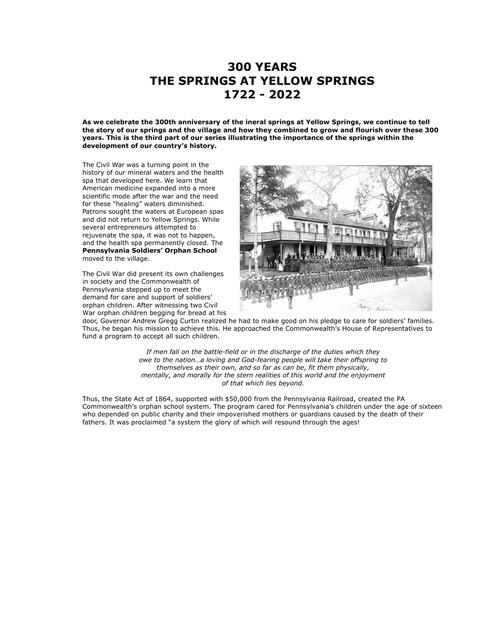# **300 YEARS THE SPRINGS AT YELLOW SPRINGS 1722 - 2022**

**As we celebrate the 300th anniversary of the ineral springs at Yellow Springs, we continue to tell the story of our springs and the village and how they combined to grow and flourish over these 300 years. This is the third part of our series illustrating the importance of the springs within the development of our country's history.**

The Civil War was a turning point in the history of our mineral waters and the health spa that developed here. We learn that American medicine expanded into a more scientific mode after the war and the need for these "healing" waters diminished. Patrons sought the waters at European spas and did not return to Yellow Springs. While several entrepreneurs attempted to rejuvenate the spa, it was not to happen, and the health spa permanently closed. The **Pennsylvania Soldiers' Orphan School** moved to the village.

The Civil War did present its own challenges in society and the Commonwealth of Pennsylvania stepped up to meet the demand for care and support of soldiers' orphan children. After witnessing two Civil War orphan children begging for bread at his



door, Governor Andrew Gregg Curtin realized he had to make good on his pledge to care for soldiers' families. Thus, he began his mission to achieve this. He approached the Commonwealth's House of Representatives to fund a program to accept all such children.

> *If men fall on the battle-field or in the discharge of the duties which they owe to the nation…a loving and God-fearing people will take their offspring to themselves as their own, and so far as can be, fit them physically, mentally, and morally for the stern realities of this world and the enjoyment of that which lies beyond.*

Thus, the State Act of 1864, supported with \$50,000 from the Pennsylvania Railroad, created the PA Commonwealth's orphan school system. The program cared for Pennsylvania's children under the age of sixteen who depended on public charity and their impoverished mothers or guardians caused by the death of their fathers. It was proclaimed "a system the glory of which will resound through the ages!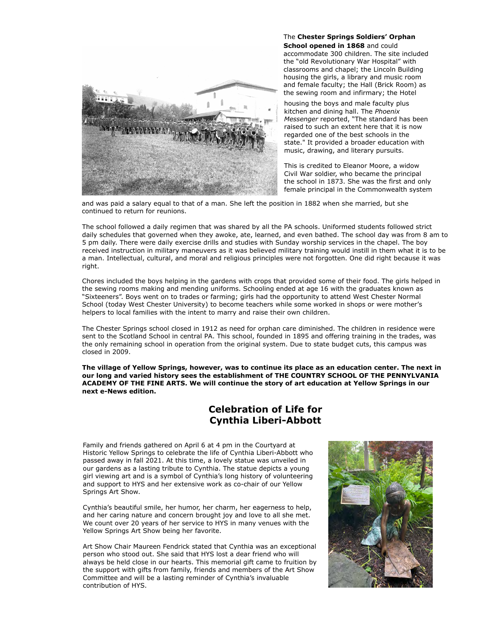

The **Chester Springs Soldiers' Orphan School opened in 1868** and could accommodate 300 children. The site included the "old Revolutionary War Hospital" with classrooms and chapel; the Lincoln Building housing the girls, a library and music room and female faculty; the Hall (Brick Room) as the sewing room and infirmary; the Hotel

housing the boys and male faculty plus kitchen and dining hall. The *Phoenix Messenger* reported, "The standard has been raised to such an extent here that it is now regarded one of the best schools in the state." It provided a broader education with music, drawing, and literary pursuits.

This is credited to Eleanor Moore, a widow Civil War soldier, who became the principal the school in 1873. She was the first and only female principal in the Commonwealth system

and was paid a salary equal to that of a man. She left the position in 1882 when she married, but she continued to return for reunions.

The school followed a daily regimen that was shared by all the PA schools. Uniformed students followed strict daily schedules that governed when they awoke, ate, learned, and even bathed. The school day was from 8 am to 5 pm daily. There were daily exercise drills and studies with Sunday worship services in the chapel. The boy received instruction in military maneuvers as it was believed military training would instill in them what it is to be a man. Intellectual, cultural, and moral and religious principles were not forgotten. One did right because it was right.

Chores included the boys helping in the gardens with crops that provided some of their food. The girls helped in the sewing rooms making and mending uniforms. Schooling ended at age 16 with the graduates known as "Sixteeners". Boys went on to trades or farming; girls had the opportunity to attend West Chester Normal School (today West Chester University) to become teachers while some worked in shops or were mother's helpers to local families with the intent to marry and raise their own children.

The Chester Springs school closed in 1912 as need for orphan care diminished. The children in residence were sent to the Scotland School in central PA. This school, founded in 1895 and offering training in the trades, was the only remaining school in operation from the original system. Due to state budget cuts, this campus was closed in 2009.

**The village of Yellow Springs, however, was to continue its place as an education center. The next in our long and varied history sees the establishment of THE COUNTRY SCHOOL OF THE PENNYLVANIA ACADEMY OF THE FINE ARTS. We will continue the story of art education at Yellow Springs in our next e-News edition.**

## **Celebration of Life for Cynthia Liberi-Abbott**

Family and friends gathered on April 6 at 4 pm in the Courtyard at Historic Yellow Springs to celebrate the life of Cynthia Liberi-Abbott who passed away in fall 2021. At this time, a lovely statue was unveiled in our gardens as a lasting tribute to Cynthia. The statue depicts a young girl viewing art and is a symbol of Cynthia's long history of volunteering and support to HYS and her extensive work as co-chair of our Yellow Springs Art Show.

Cynthia's beautiful smile, her humor, her charm, her eagerness to help, and her caring nature and concern brought joy and love to all she met. We count over 20 years of her service to HYS in many venues with the Yellow Springs Art Show being her favorite.

Art Show Chair Maureen Fendrick stated that Cynthia was an exceptional person who stood out. She said that HYS lost a dear friend who will always be held close in our hearts. This memorial gift came to fruition by the support with gifts from family, friends and members of the Art Show Committee and will be a lasting reminder of Cynthia's invaluable contribution of HYS.

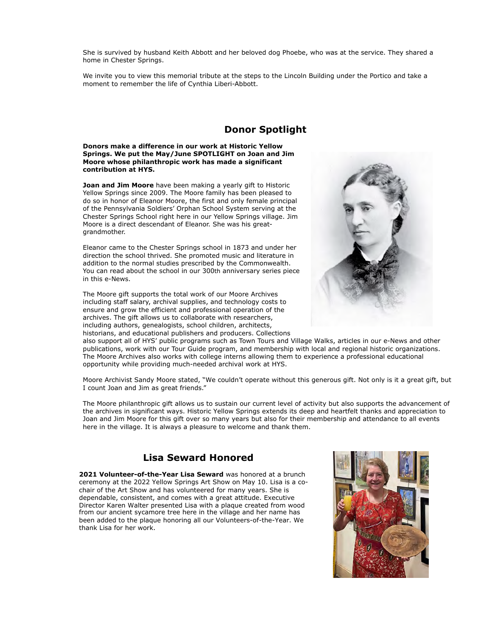She is survived by husband Keith Abbott and her beloved dog Phoebe, who was at the service. They shared a home in Chester Springs.

We invite you to view this memorial tribute at the steps to the Lincoln Building under the Portico and take a moment to remember the life of Cynthia Liberi-Abbott.

## **Donor Spotlight**

#### **Donors make a difference in our work at Historic Yellow Springs. We put the May/June SPOTLIGHT on Joan and Jim Moore whose philanthropic work has made a significant contribution at HYS.**

**Joan and Jim Moore** have been making a yearly gift to Historic Yellow Springs since 2009. The Moore family has been pleased to do so in honor of Eleanor Moore, the first and only female principal of the Pennsylvania Soldiers' Orphan School System serving at the Chester Springs School right here in our Yellow Springs village. Jim Moore is a direct descendant of Eleanor. She was his greatgrandmother.

Eleanor came to the Chester Springs school in 1873 and under her direction the school thrived. She promoted music and literature in addition to the normal studies prescribed by the Commonwealth. You can read about the school in our 300th anniversary series piece in this e-News.

The Moore gift supports the total work of our Moore Archives including staff salary, archival supplies, and technology costs to ensure and grow the efficient and professional operation of the archives. The gift allows us to collaborate with researchers, including authors, genealogists, school children, architects, historians, and educational publishers and producers. Collections



also support all of HYS' public programs such as Town Tours and Village Walks, articles in our e-News and other publications, work with our Tour Guide program, and membership with local and regional historic organizations. The Moore Archives also works with college interns allowing them to experience a professional educational opportunity while providing much-needed archival work at HYS.

Moore Archivist Sandy Moore stated, "We couldn't operate without this generous gift. Not only is it a great gift, but I count Joan and Jim as great friends."

The Moore philanthropic gift allows us to sustain our current level of activity but also supports the advancement of the archives in significant ways. Historic Yellow Springs extends its deep and heartfelt thanks and appreciation to Joan and Jim Moore for this gift over so many years but also for their membership and attendance to all events here in the village. It is always a pleasure to welcome and thank them.

## **Lisa Seward Honored**

**2021 Volunteer-of-the-Year Lisa Seward** was honored at a brunch ceremony at the 2022 Yellow Springs Art Show on May 10. Lisa is a cochair of the Art Show and has volunteered for many years. She is dependable, consistent, and comes with a great attitude. Executive Director Karen Walter presented Lisa with a plaque created from wood from our ancient sycamore tree here in the village and her name has been added to the plaque honoring all our Volunteers-of-the-Year. We thank Lisa for her work.

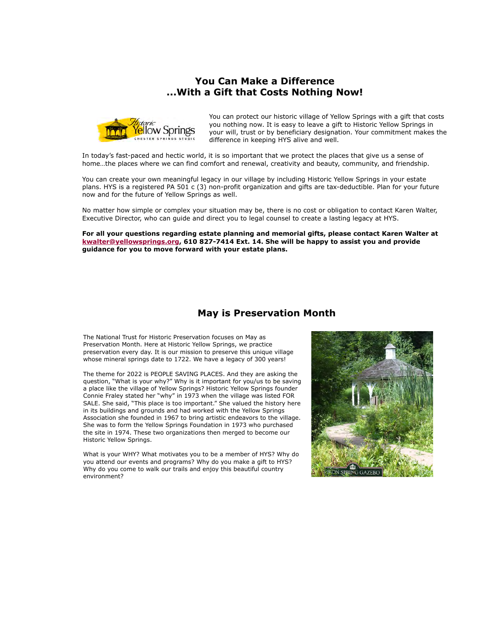## **You Can Make a Difference ...With a Gift that Costs Nothing Now!**



You can protect our historic village of Yellow Springs with a gift that costs you nothing now. It is easy to leave a gift to Historic Yellow Springs in your will, trust or by beneficiary designation. Your commitment makes the difference in keeping HYS alive and well.

In today's fast-paced and hectic world, it is so important that we protect the places that give us a sense of home…the places where we can find comfort and renewal, creativity and beauty, community, and friendship.

You can create your own meaningful legacy in our village by including Historic Yellow Springs in your estate plans. HYS is a registered PA 501 c (3) non-profit organization and gifts are tax-deductible. Plan for your future now and for the future of Yellow Springs as well.

No matter how simple or complex your situation may be, there is no cost or obligation to contact Karen Walter, Executive Director, who can guide and direct you to legal counsel to create a lasting legacy at HYS.

**For all your questions regarding estate planning and memorial gifts, please contact Karen Walter at [kwalter@yellowsprings.org](mailto:kwalter@yellowsprings.org), 610 827-7414 Ext. 14. She will be happy to assist you and provide guidance for you to move forward with your estate plans.**

### **May is Preservation Month**

The National Trust for Historic Preservation focuses on May as Preservation Month. Here at Historic Yellow Springs, we practice preservation every day. It is our mission to preserve this unique village whose mineral springs date to 1722. We have a legacy of 300 years!

The theme for 2022 is PEOPLE SAVING PLACES. And they are asking the question, "What is your why?" Why is it important for you/us to be saving a place like the village of Yellow Springs? Historic Yellow Springs founder Connie Fraley stated her "why" in 1973 when the village was listed FOR SALE. She said, "This place is too important." She valued the history here in its buildings and grounds and had worked with the Yellow Springs Association she founded in 1967 to bring artistic endeavors to the village. She was to form the Yellow Springs Foundation in 1973 who purchased the site in 1974. These two organizations then merged to become our Historic Yellow Springs.

What is your WHY? What motivates you to be a member of HYS? Why do you attend our events and programs? Why do you make a gift to HYS? Why do you come to walk our trails and enjoy this beautiful country environment?

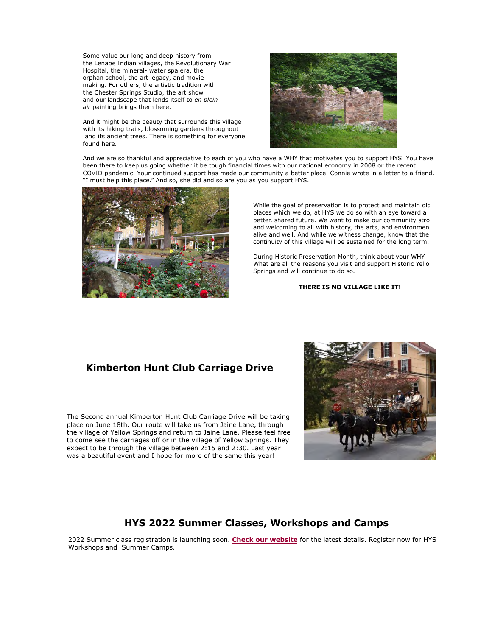Some value our long and deep history from the Lenape Indian villages, the Revolutionary War Hospital, the mineral- water spa era, the orphan school, the art legacy, and movie making. For others, the artistic tradition with the Chester Springs Studio, the art show and our landscape that lends itself to *en plein air* painting brings them here.

And it might be the beauty that surrounds this village with its hiking trails, blossoming gardens throughout and its ancient trees. There is something for everyone found here.



And we are so thankful and appreciative to each of you who have a WHY that motivates you to support HYS. You have been there to keep us going whether it be tough financial times with our national economy in 2008 or the recent COVID pandemic. Your continued support has made our community a better place. Connie wrote in a letter to a friend, "I must help this place." And so, she did and so are you as you support HYS.



While the goal of preservation is to protect and maintain old places which we do, at HYS we do so with an eye toward a better, shared future. We want to make our community stro and welcoming to all with history, the arts, and environmen alive and well. And while we witness change, know that the continuity of this village will be sustained for the long term.

During Historic Preservation Month, think about your WHY. What are all the reasons you visit and support Historic Yello Springs and will continue to do so.

### **THERE IS NO VILLAGE LIKE IT!**

## **Kimberton Hunt Club Carriage Drive**

The Second annual Kimberton Hunt Club Carriage Drive will be taking place on June 18th. Our route will take us from Jaine Lane, through the village of Yellow Springs and return to Jaine Lane. Please feel free to come see the carriages off or in the village of Yellow Springs. They expect to be through the village between 2:15 and 2:30. Last year was a beautiful event and I hope for more of the same this year!



### **HYS 2022 Summer Classes, Workshops and Camps**

2022 Summer class registration is launching soon. **[Check our website](https://cts.vresp.com/c/?HistoricYellowSpring/22cf92167d/d6373be450/a6a855cc04)** for the latest details. Register now for HYS Workshops and Summer Camps.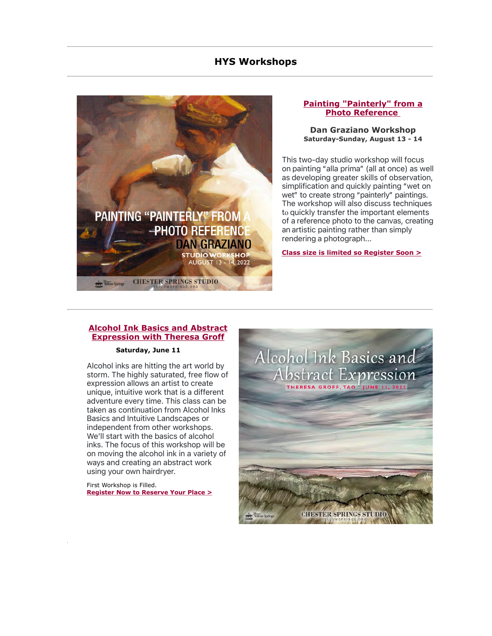### **HYS Workshops**



### **[Painting "Painterly" from a](https://cts.vresp.com/c/?HistoricYellowSpring/22cf92167d/d6373be450/555a00f98e) Photo Reference**

### **Dan Graziano Workshop Saturday-Sunday, August 13 - 14**

This two-day studio workshop will focus on painting "alla prima" (all at once) as well as developing greater skills of observation, simplification and quickly painting "wet on wet" to create strong "painterly" paintings. The workshop will also discuss techniques to quickly transfer the important elements of a reference photo to the canvas, creating an artistic painting rather than simply rendering a photograph...

**[Class size is limited so Register Soon >](https://cts.vresp.com/c/?HistoricYellowSpring/22cf92167d/d6373be450/ed349b20da)**

### **[Alcohol Ink Basics and Abstract](https://cts.vresp.com/c/?HistoricYellowSpring/22cf92167d/d6373be450/5a59103a9f) Expression with Theresa Groff**

### **Saturday, June 11**

Alcohol inks are hitting the art world by storm. The highly saturated, free flow of expression allows an artist to create unique, intuitive work that is a different adventure every time. This class can be taken as continuation from Alcohol Inks Basics and Intuitive Landscapes or independent from other workshops. We'll start with the basics of alcohol inks. The focus of this workshop will be on moving the alcohol ink in a variety of ways and creating an abstract work using your own hairdryer.

First Workshop is Filled. **[Register Now to Reserve Your Place >](https://cts.vresp.com/c/?HistoricYellowSpring/22cf92167d/d6373be450/e15965aa8d)**

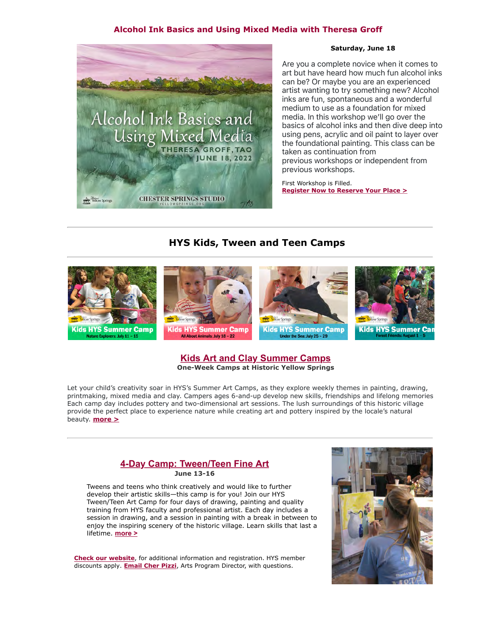### **Alcohol Ink Basics and Using Mixed Media with Theresa Groff**



### **Saturday, June 18**

Are you a complete novice when it comes to art but have heard how much fun alcohol inks can be? Or maybe you are an experienced artist wanting to try something new? Alcohol inks are fun, spontaneous and a wonderful medium to use as a foundation for mixed media. In this workshop we'll go over the basics of alcohol inks and then dive deep into using pens, acrylic and oil paint to layer over the foundational painting. This class can be taken as continuation from previous workshops or independent from previous workshops.

First Workshop is Filled. **[Register Now to Reserve Your Place >](https://cts.vresp.com/c/?HistoricYellowSpring/22cf92167d/d6373be450/b6da90977c)**

## **HYS Kids, Tween and Teen Camps**



### **[Kids Art and Clay Summer Camps](https://cts.vresp.com/c/?HistoricYellowSpring/22cf92167d/d6373be450/f17f24fe56) One-Week Camps at Historic Yellow Springs**

Let your child's creativity soar in HYS's Summer Art Camps, as they explore weekly themes in painting, drawing, printmaking, mixed media and clay. Campers ages 6-and-up develop new skills, friendships and lifelong memories. Each camp day includes pottery and two-dimensional art sessions. The lush surroundings of this historic village provide the perfect place to experience nature while creating art and pottery inspired by the locale's natural beauty. **[more >](https://cts.vresp.com/c/?HistoricYellowSpring/22cf92167d/d6373be450/23e8a5697f)**

### **[4-Day Camp: Tween/Teen Fine Art](https://cts.vresp.com/c/?HistoricYellowSpring/22cf92167d/d6373be450/3e02569701) June 13-16**

Tweens and teens who think creatively and would like to further develop their artistic skills—this camp is for you! Join our HYS Tween/Teen Art Camp for four days of drawing, painting and quality training from HYS faculty and professional artist. Each day includes a session in drawing, and a session in painting with a break in between to enjoy the inspiring scenery of the historic village. Learn skills that last a lifetime. **[more >](https://cts.vresp.com/c/?HistoricYellowSpring/22cf92167d/d6373be450/191f58bcda)**

**Check our website**, for additional information and registration. HYS member discounts apply. **Email Cher Pizzi**, Arts Program Director, with questions.

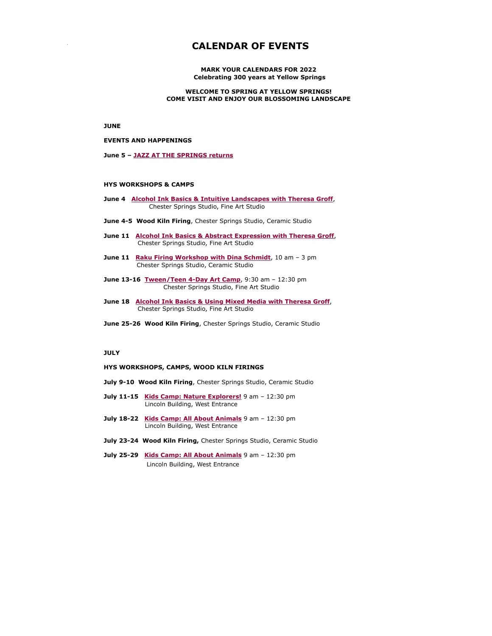## **CALENDAR OF EVENTS**

**MARK YOUR CALENDARS FOR 2022 Celebrating 300 years at Yellow Springs**

**WELCOME TO SPRING AT YELLOW SPRINGS! COME VISIT AND ENJOY OUR BLOSSOMING LANDSCAPE**

**JUNE**

#### **EVENTS AND HAPPENINGS**

**June 5 – [JAZZ AT THE SPRINGS returns](https://cts.vresp.com/c/?HistoricYellowSpring/22cf92167d/d6373be450/b73d1bc477)**

#### **HYS WORKSHOPS & CAMPS**

- **June 4 [Alcohol Ink Basics & Intuitive Landscapes with Theresa Groff](https://cts.vresp.com/c/?HistoricYellowSpring/22cf92167d/d6373be450/091992e011)**, Chester Springs Studio, Fine Art Studio
- **June 4-5 Wood Kiln Firing**, Chester Springs Studio, Ceramic Studio
- **June 11 [Alcohol Ink Basics & Abstract Expression with Theresa](https://cts.vresp.com/c/?HistoricYellowSpring/22cf92167d/d6373be450/a56aedc604) [Groff](https://cts.vresp.com/c/?HistoricYellowSpring/22cf92167d/d6373be450/64f04db858)**, Chester Springs Studio, Fine Art Studio
- **June 11 [Raku Firing Workshop with Dina Schmidt](https://cts.vresp.com/c/?HistoricYellowSpring/22cf92167d/d6373be450/e467d35768)**, 10 am 3 pm Chester Springs Studio, Ceramic Studio
- **June 13-16 [Tween/Teen 4-Day Art Camp](https://cts.vresp.com/c/?HistoricYellowSpring/22cf92167d/d6373be450/6053625462)**, 9:30 am 12:30 pm Chester Springs Studio, Fine Art Studio
- **June 18 [Alcohol Ink Basics & Using Mixed Media with Theresa Groff](https://cts.vresp.com/c/?HistoricYellowSpring/22cf92167d/d6373be450/8d4059b7b1)**, Chester Springs Studio, Fine Art Studio
- **June 25-26 Wood Kiln Firing**, Chester Springs Studio, Ceramic Studio

#### **JULY**

#### **HYS WORKSHOPS, CAMPS, WOOD KILN FIRINGS**

- **July 9-10 Wood Kiln Firing**, Chester Springs Studio, Ceramic Studio
- **July 11-15 [Kids Camp: Nature Explorers!](https://cts.vresp.com/c/?HistoricYellowSpring/22cf92167d/d6373be450/42f7654478)** 9 am 12:30 pm Lincoln Building, West Entrance
- **July 18-22 [Kids Camp: All About Animals](https://cts.vresp.com/c/?HistoricYellowSpring/22cf92167d/d6373be450/87cb274735)** 9 am 12:30 pm Lincoln Building, West Entrance
- **July 23-24 Wood Kiln Firing,** Chester Springs Studio, Ceramic Studio
- **July 25-29 [Kids Camp: All About Animals](https://cts.vresp.com/c/?HistoricYellowSpring/22cf92167d/d6373be450/85adff33d6)** 9 am 12:30 pm Lincoln Building, West Entrance